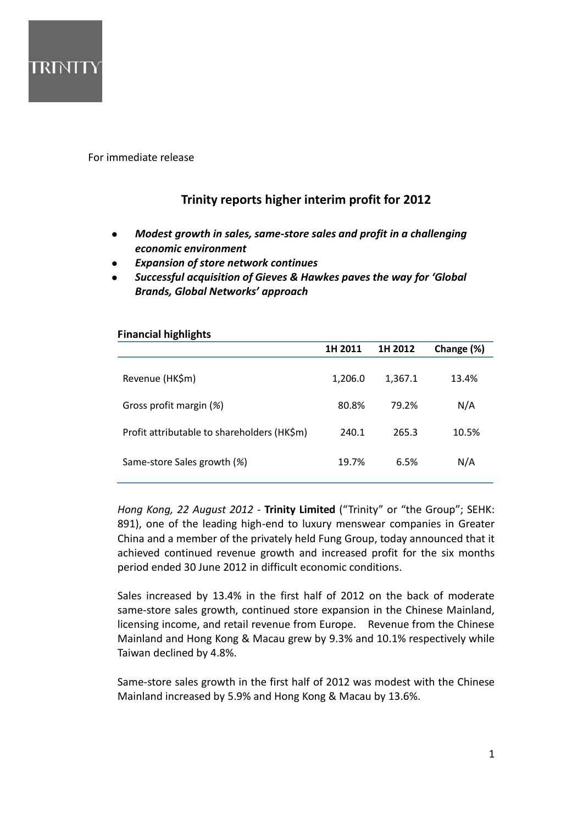

For immediate release

# **Trinity reports higher interim profit for 2012**

- *Modest growth in sales, same-store sales and profit in a challenging economic environment*
- *Expansion of store network continues*
- *Successful acquisition of Gieves & Hawkes paves the way for 'Global Brands, Global Networks' approach*

| <b>Financial highlights</b>                 |         |         |            |  |  |
|---------------------------------------------|---------|---------|------------|--|--|
|                                             | 1H 2011 | 1H 2012 | Change (%) |  |  |
| Revenue (HK\$m)                             | 1,206.0 | 1,367.1 | 13.4%      |  |  |
| Gross profit margin (%)                     | 80.8%   | 79.2%   | N/A        |  |  |
| Profit attributable to shareholders (HK\$m) | 240.1   | 265.3   | 10.5%      |  |  |
| Same-store Sales growth (%)                 | 19.7%   | 6.5%    | N/A        |  |  |
|                                             |         |         |            |  |  |

*Hong Kong, 22 August 2012* - **Trinity Limited** ("Trinity" or "the Group"; SEHK: 891), one of the leading high-end to luxury menswear companies in Greater China and a member of the privately held Fung Group, today announced that it achieved continued revenue growth and increased profit for the six months period ended 30 June 2012 in difficult economic conditions.

Sales increased by 13.4% in the first half of 2012 on the back of moderate same-store sales growth, continued store expansion in the Chinese Mainland, licensing income, and retail revenue from Europe. Revenue from the Chinese Mainland and Hong Kong & Macau grew by 9.3% and 10.1% respectively while Taiwan declined by 4.8%.

Same-store sales growth in the first half of 2012 was modest with the Chinese Mainland increased by 5.9% and Hong Kong & Macau by 13.6%.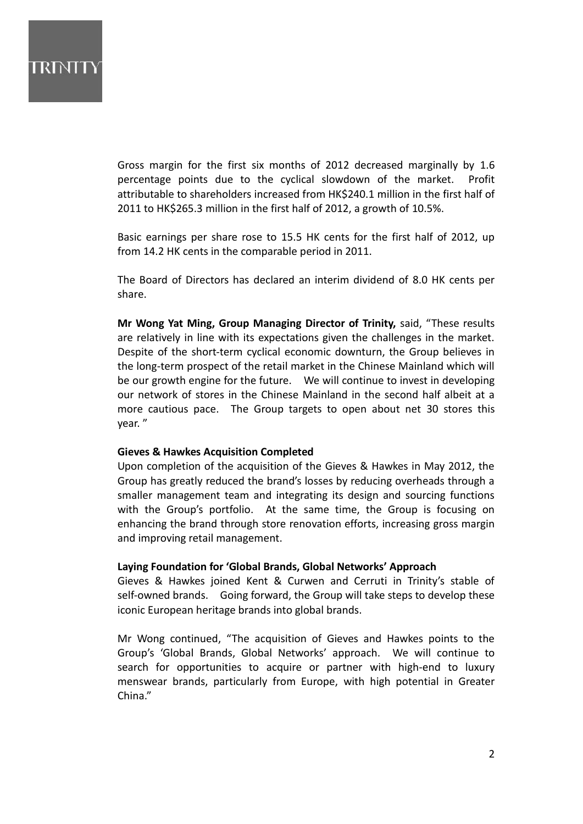

Gross margin for the first six months of 2012 decreased marginally by 1.6 percentage points due to the cyclical slowdown of the market. Profit attributable to shareholders increased from HK\$240.1 million in the first half of 2011 to HK\$265.3 million in the first half of 2012, a growth of 10.5%.

Basic earnings per share rose to 15.5 HK cents for the first half of 2012, up from 14.2 HK cents in the comparable period in 2011.

The Board of Directors has declared an interim dividend of 8.0 HK cents per share.

**Mr Wong Yat Ming, Group Managing Director of Trinity,** said, "These results are relatively in line with its expectations given the challenges in the market. Despite of the short-term cyclical economic downturn, the Group believes in the long-term prospect of the retail market in the Chinese Mainland which will be our growth engine for the future. We will continue to invest in developing our network of stores in the Chinese Mainland in the second half albeit at a more cautious pace. The Group targets to open about net 30 stores this year. "

### **Gieves & Hawkes Acquisition Completed**

Upon completion of the acquisition of the Gieves & Hawkes in May 2012, the Group has greatly reduced the brand's losses by reducing overheads through a smaller management team and integrating its design and sourcing functions with the Group's portfolio. At the same time, the Group is focusing on enhancing the brand through store renovation efforts, increasing gross margin and improving retail management.

#### **Laying Foundation for 'Global Brands, Global Networks' Approach**

Gieves & Hawkes joined Kent & Curwen and Cerruti in Trinity's stable of self-owned brands. Going forward, the Group will take steps to develop these iconic European heritage brands into global brands.

Mr Wong continued, "The acquisition of Gieves and Hawkes points to the Group's 'Global Brands, Global Networks' approach. We will continue to search for opportunities to acquire or partner with high-end to luxury menswear brands, particularly from Europe, with high potential in Greater China."